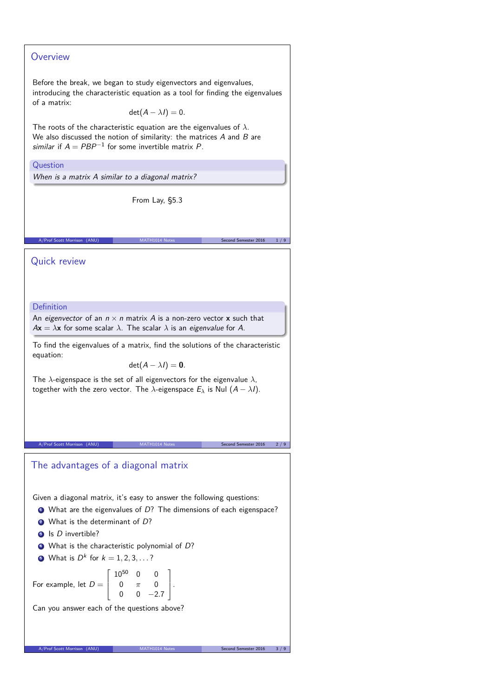## **Overview**

Before the break, we began to study eigenvectors and eigenvalues, introducing the characteristic equation as a tool for finding the eigenvalues of a matrix:

 $det(A - \lambda I) = 0.$ 

The roots of the characteristic equation are the eigenvalues of *λ*. We also discussed the notion of similarity: the matrices  $A$  and  $B$  are similar if  $A = PBP^{-1}$  for some invertible matrix P.

#### **Question**

When is a matrix A similar to a diagonal matrix?

From Lay, §5.3

A/Prof Scott Morrison (ANU) MATH1014 Notes Second Semester 2016 1/9

Quick review

#### Definition

An eigenvector of an  $n \times n$  matrix A is a non-zero vector **x** such that  $A$ **x** =  $\lambda$ **x** for some scalar  $\lambda$ . The scalar  $\lambda$  is an eigenvalue for A.

To find the eigenvalues of a matrix, find the solutions of the characteristic equation:

 $det(A - \lambda I) = 0$ .

The *λ*-eigenspace is the set of all eigenvectors for the eigenvalue *λ*, together with the zero vector. The  $\lambda$ -eigenspace  $E_{\lambda}$  is Nul  $(A - \lambda I)$ .

A/Prof Scott Morrison (ANU) MATH1014 Notes Second Semester 2016 2/9

# The advantages of a diagonal matrix

Given a diagonal matrix, it's easy to answer the following questions:

 $\bullet$  What are the eigenvalues of D? The dimensions of each eigenspace?

1  $\vert \cdot$ 

- <sup>2</sup> What is the determinant of D?
- **3** Is *D* invertible?
- <sup>4</sup> What is the characteristic polynomial of D?
- **5** What is  $D^k$  for  $k = 1, 2, 3, \ldots$ ?

For example, let  $D =$  $\Gamma$  $\mathbf{I}$  $10^{50}$  0 0 0 *π* 0  $0 \t 0 \t -2.7$ 

Can you answer each of the questions above?

A/Prof Scott Morrison (ANU)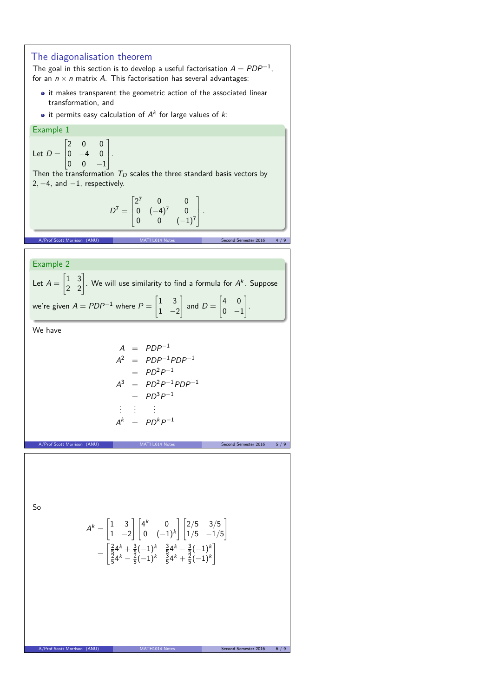## The diagonalisation theorem

The goal in this section is to develop a useful factorisation  $A = PDP^{-1},$ for an  $n \times n$  matrix A. This factorisation has several advantages:

- $\bullet$  it makes transparent the geometric action of the associated linear transformation, and
- it permits easy calculation of  $A^k$  for large values of  $k$ :

#### Example 1 Let  $D =$  $\sqrt{2}$  $\begin{bmatrix} 0 & -4 & 0 \\ 0 & 0 & 1 \end{bmatrix}$ .  $\begin{bmatrix} 0 & 0 & -1 \end{bmatrix}$  $\overline{0}$  $0<sup>1</sup>$

Then the transformation  $T_D$  scales the three standard basis vectors by 2, −4, and −1, respectively.

$$
D^7 = \begin{bmatrix} 2^7 & 0 & 0 \\ 0 & (-4)^7 & 0 \\ 0 & 0 & (-1)^7 \end{bmatrix}.
$$

Arror Semester 2016  $4/9$ 

Example 2

Let 
$$
A = \begin{bmatrix} 1 & 3 \\ 2 & 2 \end{bmatrix}
$$
. We will use similarity to find a formula for  $A^k$ . Suppose  
we're given  $A = PDP^{-1}$  where  $P = \begin{bmatrix} 1 & 3 \\ 1 & -2 \end{bmatrix}$  and  $D = \begin{bmatrix} 4 & 0 \\ 0 & -1 \end{bmatrix}$ .

We have

$$
A = PDP^{-1}
$$
  
\n
$$
A^{2} = PDP^{-1}PDP^{-1}
$$
  
\n
$$
= PD^{2}P^{-1}
$$
  
\n
$$
A^{3} = PD^{2}P^{-1}PDP^{-1}
$$
  
\n
$$
= PD^{3}P^{-1}
$$
  
\n
$$
\vdots \qquad \vdots
$$
  
\n
$$
A^{k} = PD^{k}P^{-1}
$$

A/Prof Scott Morrison (ANU) MATH1014 Notes Second Semester 2016 5/9

So

$$
A^{k} = \begin{bmatrix} 1 & 3 \\ 1 & -2 \end{bmatrix} \begin{bmatrix} 4^{k} & 0 \\ 0 & (-1)^{k} \end{bmatrix} \begin{bmatrix} 2/5 & 3/5 \\ 1/5 & -1/5 \end{bmatrix}
$$

$$
= \begin{bmatrix} \frac{2}{5}4^{k} + \frac{3}{5}(-1)^{k} & \frac{3}{5}4^{k} - \frac{3}{5}(-1)^{k} \\ \frac{5}{5}4^{k} - \frac{2}{5}(-1)^{k} & \frac{3}{5}4^{k} + \frac{2}{5}(-1)^{k} \end{bmatrix}
$$

A/Prof Scott Morrison (ANU) MATH1014 Notes Second Semester 2016 6 / 9